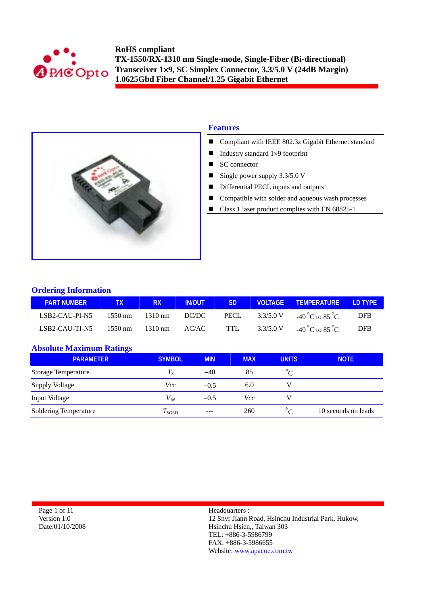



# **Features**

- Compliant with IEEE 802.3z Gigabit Ethernet standard
- Industry standard  $1\times9$  footprint
- SC connector
- Single power supply  $3.3/5.0$  V
- Differential PECL inputs and outputs
- Compatible with solder and aqueous wash processes
- Class 1 laser product complies with EN 60825-1

## **Ordering Information**

| <b>PART NUMBER</b> |                   | RX.               | <b>IN/OUT</b> | SD.  |           | VOLTAGE TEMPERATURE LD TYPE       |            |
|--------------------|-------------------|-------------------|---------------|------|-----------|-----------------------------------|------------|
| LSB2-CAU-PI-N5     | 1550 nm           | 1310 nm           | DC/DC         | PECL | 3.3/5.0 V | $-40^{\circ}$ C to $85^{\circ}$ C | <b>DFB</b> |
| LSB2-CAU-TI-N5     | $1550 \text{ nm}$ | $1310 \text{ nm}$ | AC/AC         | TTL. | 3.3/5.0 V | $-40^{\circ}$ C to $85^{\circ}$ C | <b>DFR</b> |

## **Absolute Maximum Ratings**

| $\overline{\phantom{0}}$<br><b>PARAMETER</b> | <b>SYMBOL</b>              | <b>MIN</b> | <b>MAX</b> | <b>UNITS</b> | <b>NOTE</b>         |
|----------------------------------------------|----------------------------|------------|------------|--------------|---------------------|
| <b>Storage Temperature</b>                   | $T_{\scriptscriptstyle S}$ | $-40$      | 85         |              |                     |
| Supply Voltage                               | Vcc                        | $-0.5$     | 6.0        |              |                     |
| Input Voltage                                | $V_{lN}$                   | $-0.5$     | Vcc        |              |                     |
| Soldering Temperature                        | $T_{SOLD}$                 | $--$       | 260        | $\circ$      | 10 seconds on leads |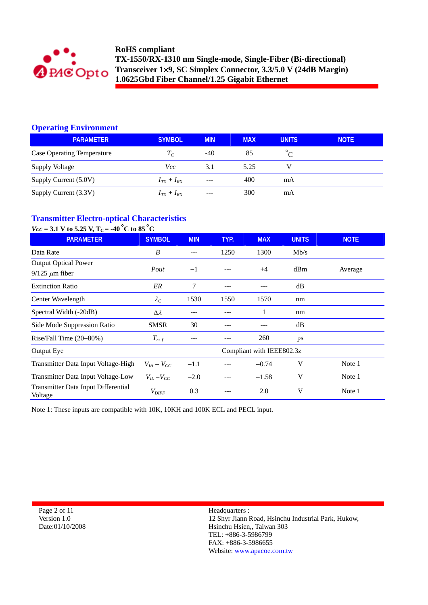

# **Operating Environment**

| <b>PARAMETER</b>                  | <b>SYMBOL</b>     | <b>MIN</b> | <b>MAX</b> | <b>UNITS</b> | <b>NOTE</b> |
|-----------------------------------|-------------------|------------|------------|--------------|-------------|
| <b>Case Operating Temperature</b> | $T_C$             | $-40$      | 85         |              |             |
| <b>Supply Voltage</b>             | Vcc               | 3.1        | 5.25       |              |             |
| Supply Current (5.0V)             | $I_{TX}+I_{RX}$   | ---        | 400        | mA           |             |
| Supply Current (3.3V)             | $I_{TX} + I_{RX}$ | $---$      | 300        | mA           |             |

# **Transmitter Electro-optical Characteristics**

| $Vec = 3.1$ V to 5.25 V, T <sub>C</sub> = -40 <sup>°</sup> C to 85 <sup>°</sup> C |                     |            |      |                           |              |             |
|-----------------------------------------------------------------------------------|---------------------|------------|------|---------------------------|--------------|-------------|
| <b>PARAMETER</b>                                                                  | <b>SYMBOL</b>       | <b>MIN</b> | TYP. | <b>MAX</b>                | <b>UNITS</b> | <b>NOTE</b> |
| Data Rate                                                                         | B                   | ---        | 1250 | 1300                      | Mb/s         |             |
| <b>Output Optical Power</b>                                                       |                     |            |      |                           |              |             |
| $9/125 \ \mu m$ fiber                                                             | Pout                | $-1$       |      | $+4$                      | dBm          | Average     |
| <b>Extinction Ratio</b>                                                           | ER                  | 7          | ---  |                           | dB           |             |
| Center Wavelength                                                                 | $\lambda_C$         | 1530       | 1550 | 1570                      | nm           |             |
| Spectral Width (-20dB)                                                            | $\Delta \lambda$    | ---        |      | 1                         | nm           |             |
| Side Mode Suppression Ratio                                                       | <b>SMSR</b>         | 30         |      |                           | dB           |             |
| Rise/Fall Time $(20-80%)$                                                         | $T_{r,f}$           |            |      | 260                       | ps           |             |
| Output Eye                                                                        |                     |            |      | Compliant with IEEE802.3z |              |             |
| Transmitter Data Input Voltage-High                                               | $V_{IH} - V_{CC}$   | $-1.1$     |      | $-0.74$                   | V            | Note 1      |
| Transmitter Data Input Voltage-Low                                                | $V_{IL}$ – $V_{CC}$ | $-2.0$     |      | $-1.58$                   | V            | Note 1      |
| Transmitter Data Input Differential<br>Voltage                                    | $V_{\mathit{DIFF}}$ | 0.3        |      | 2.0                       | V            | Note 1      |

Note 1: These inputs are compatible with 10K, 10KH and 100K ECL and PECL input.

Page 2 of 11 Version 1.0 Date:01/10/2008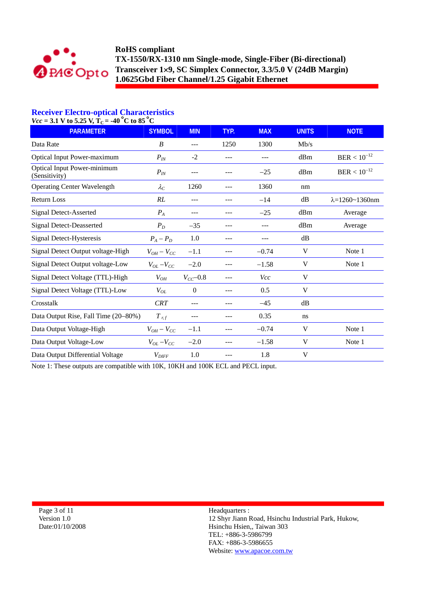

# **Receiver Electro-optical Characteristics**

 $Vcc = 3.1$  V to 5.25 V,  $T_C = -40$  °C to 85 °C

| <b>PARAMETER</b>                             | <b>SYMBOL</b>       | <b>MIN</b>    | TYP.  | <b>MAX</b> | <b>UNITS</b> | <b>NOTE</b>                   |
|----------------------------------------------|---------------------|---------------|-------|------------|--------------|-------------------------------|
| Data Rate                                    | $\boldsymbol{B}$    | ---           | 1250  | 1300       | Mb/s         |                               |
| <b>Optical Input Power-maximum</b>           | $P_{IN}$            | $-2$          |       |            | dBm          | $BER < 10^{-12}$              |
| Optical Input Power-minimum<br>(Sensitivity) | $P_{IN}$            | ---           |       | $-25$      | dBm          | $BER < 10^{-12}$              |
| <b>Operating Center Wavelength</b>           | $\lambda_C$         | 1260          |       | 1360       | nm           |                               |
| <b>Return Loss</b>                           | RL                  | ---           | ---   | $-14$      | dB           | $\lambda = 1260 \sim 1360$ nm |
| Signal Detect-Asserted                       | $P_A$               | ---           | $---$ | $-25$      | dBm          | Average                       |
| <b>Signal Detect-Deasserted</b>              | $P_D$               | $-35$         |       | ---        | dBm          | Average                       |
| Signal Detect-Hysteresis                     | $P_A - P_D$         | 1.0           | ---   | ---        | dB           |                               |
| Signal Detect Output voltage-High            | $V_{OH} - V_{CC}$   | $-1.1$        | ---   | $-0.74$    | V            | Note 1                        |
| Signal Detect Output voltage-Low             | $V_{OL}$ – $V_{CC}$ | $-2.0$        |       | $-1.58$    | V            | Note 1                        |
| Signal Detect Voltage (TTL)-High             | $V_{OH}$            | $V_{CC}$ -0.8 |       | <b>Vcc</b> | V            |                               |
| Signal Detect Voltage (TTL)-Low              | $V_{OL}$            | $\theta$      |       | 0.5        | V            |                               |
| Crosstalk                                    | <b>CRT</b>          | ---           |       | $-45$      | dB           |                               |
| Data Output Rise, Fall Time (20–80%)         | $T$ r, f            |               |       | 0.35       | ns           |                               |
| Data Output Voltage-High                     | $V_{OH}-V_{CC}$     | $-1.1$        |       | $-0.74$    | V            | Note 1                        |
| Data Output Voltage-Low                      | $V_{OL}$ – $V_{CC}$ | $-2.0$        |       | $-1.58$    | V            | Note 1                        |
| Data Output Differential Voltage             | $V_{\text{DIFF}}$   | 1.0           |       | 1.8        | V            |                               |

Note 1: These outputs are compatible with 10K, 10KH and 100K ECL and PECL input.

Page 3 of 11 Version 1.0 Date:01/10/2008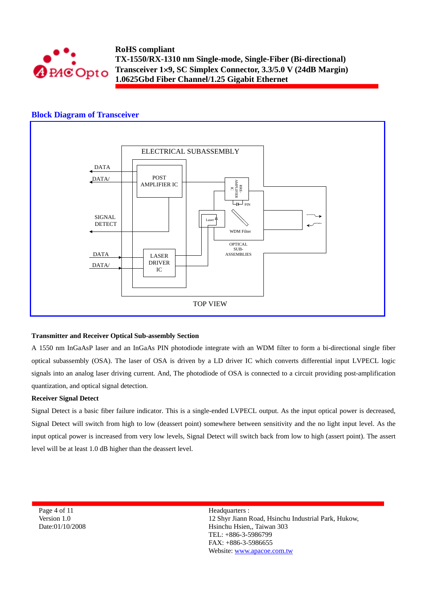

## **Block Diagram of Transceiver**



#### **Transmitter and Receiver Optical Sub-assembly Section**

A 1550 nm InGaAsP laser and an InGaAs PIN photodiode integrate with an WDM filter to form a bi-directional single fiber optical subassembly (OSA). The laser of OSA is driven by a LD driver IC which converts differential input LVPECL logic signals into an analog laser driving current. And, The photodiode of OSA is connected to a circuit providing post-amplification quantization, and optical signal detection.

#### **Receiver Signal Detect**

Signal Detect is a basic fiber failure indicator. This is a single-ended LVPECL output. As the input optical power is decreased, Signal Detect will switch from high to low (deassert point) somewhere between sensitivity and the no light input level. As the input optical power is increased from very low levels, Signal Detect will switch back from low to high (assert point). The assert level will be at least 1.0 dB higher than the deassert level.

Page 4 of 11 Version 1.0 Date:01/10/2008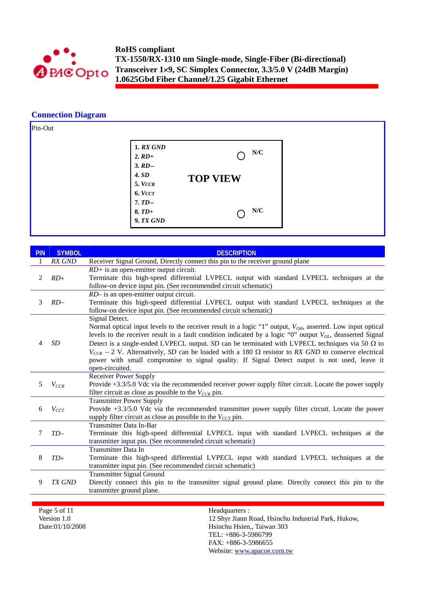

# **Connection Diagram**



| <b>PIN</b> | <b>SYMBOL</b> | <b>DESCRIPTION</b>                                                                                                                                                                                                                                                                                                                                                                                                                                                                                                                                                                                   |
|------------|---------------|------------------------------------------------------------------------------------------------------------------------------------------------------------------------------------------------------------------------------------------------------------------------------------------------------------------------------------------------------------------------------------------------------------------------------------------------------------------------------------------------------------------------------------------------------------------------------------------------------|
|            | RX GND        | Receiver Signal Ground, Directly connect this pin to the receiver ground plane                                                                                                                                                                                                                                                                                                                                                                                                                                                                                                                       |
| 2          | $RD+$         | $RD$ + is an open-emitter output circuit.<br>Terminate this high-speed differential LVPECL output with standard LVPECL techniques at the<br>follow-on device input pin. (See recommended circuit schematic)                                                                                                                                                                                                                                                                                                                                                                                          |
| 3          | $RD-$         | RD- is an open-emitter output circuit.<br>Terminate this high-speed differential LVPECL output with standard LVPECL techniques at the<br>follow-on device input pin. (See recommended circuit schematic)                                                                                                                                                                                                                                                                                                                                                                                             |
| 4          | <b>SD</b>     | Signal Detect.<br>Normal optical input levels to the receiver result in a logic "1" output, $V_{OH}$ , asserted. Low input optical<br>levels to the receiver result in a fault condition indicated by a logic "0" output $V_{OL}$ , deasserted Signal<br>Detect is a single-ended LVPECL output. SD can be terminated with LVPECL techniques via 50 $\Omega$ to<br>$V_{CCR}$ – 2 V. Alternatively, SD can be loaded with a 180 $\Omega$ resistor to RX GND to conserve electrical<br>power with small compromise to signal quality. If Signal Detect output is not used, leave it<br>open-circuited. |
| 5          | $V_{CCR}$     | <b>Receiver Power Supply</b><br>Provide +3.3/5.0 Vdc via the recommended receiver power supply filter circuit. Locate the power supply<br>filter circuit as close as possible to the $V_{CCR}$ pin.                                                                                                                                                                                                                                                                                                                                                                                                  |
| 6          | $V_{CCT}$     | <b>Transmitter Power Supply</b><br>Provide +3.3/5.0 Vdc via the recommended transmitter power supply filter circuit. Locate the power<br>supply filter circuit as close as possible to the $V_{CCT}$ pin.                                                                                                                                                                                                                                                                                                                                                                                            |
| 7          | $TD-$         | <b>Transmitter Data In-Bar</b><br>Terminate this high-speed differential LVPECL input with standard LVPECL techniques at the<br>transmitter input pin. (See recommended circuit schematic)                                                                                                                                                                                                                                                                                                                                                                                                           |
| 8          | $TD+$         | <b>Transmitter Data In</b><br>Terminate this high-speed differential LVPECL input with standard LVPECL techniques at the<br>transmitter input pin. (See recommended circuit schematic)                                                                                                                                                                                                                                                                                                                                                                                                               |
| 9          | TX GND        | <b>Transmitter Signal Ground</b><br>Directly connect this pin to the transmitter signal ground plane. Directly connect this pin to the<br>transmitter ground plane.                                                                                                                                                                                                                                                                                                                                                                                                                                  |
|            |               |                                                                                                                                                                                                                                                                                                                                                                                                                                                                                                                                                                                                      |

Page 5 of 11 Version 1.0 Date:01/10/2008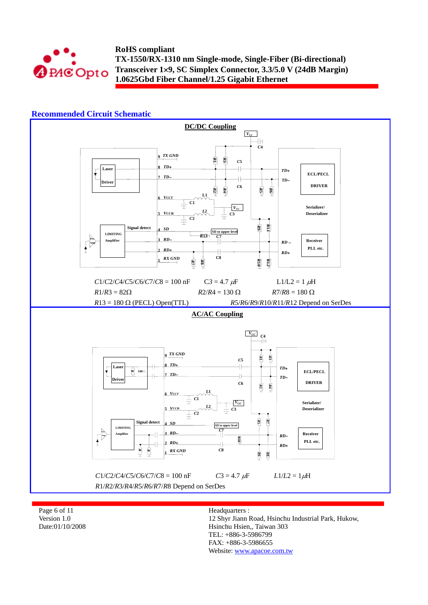

## **Recommended Circuit Schematic**



Page 6 of 11 Version 1.0 Date:01/10/2008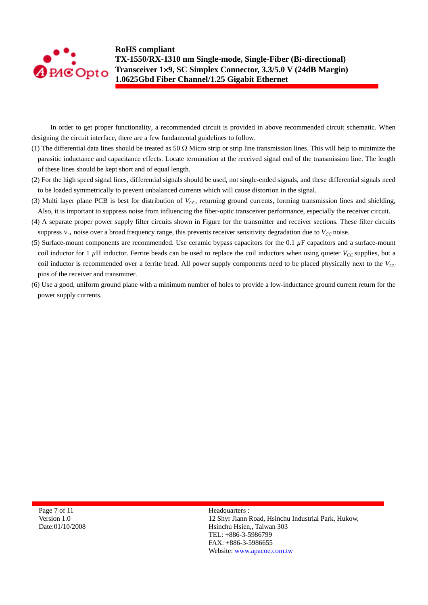

In order to get proper functionality, a recommended circuit is provided in above recommended circuit schematic. When designing the circuit interface, there are a few fundamental guidelines to follow.

- (1) The differential data lines should be treated as 50  $\Omega$  Micro strip or strip line transmission lines. This will help to minimize the parasitic inductance and capacitance effects. Locate termination at the received signal end of the transmission line. The length of these lines should be kept short and of equal length.
- (2) For the high speed signal lines, differential signals should be used, not single-ended signals, and these differential signals need to be loaded symmetrically to prevent unbalanced currents which will cause distortion in the signal.
- (3) Multi layer plane PCB is best for distribution of  $V_{CC}$ , returning ground currents, forming transmission lines and shielding, Also, it is important to suppress noise from influencing the fiber-optic transceiver performance, especially the receiver circuit.
- (4) A separate proper power supply filter circuits shown in Figure for the transmitter and receiver sections. These filter circuits suppress  $V_{cc}$  noise over a broad frequency range, this prevents receiver sensitivity degradation due to  $V_{cc}$  noise.
- (5) Surface-mount components are recommended. Use ceramic bypass capacitors for the 0.1 *µ*F capacitors and a surface-mount coil inductor for 1  $\mu$ H inductor. Ferrite beads can be used to replace the coil inductors when using quieter  $V_{CC}$  supplies, but a coil inductor is recommended over a ferrite bead. All power supply components need to be placed physically next to the  $V_{CC}$ pins of the receiver and transmitter.
- (6) Use a good, uniform ground plane with a minimum number of holes to provide a low-inductance ground current return for the power supply currents.

Page 7 of 11 Version 1.0 Date:01/10/2008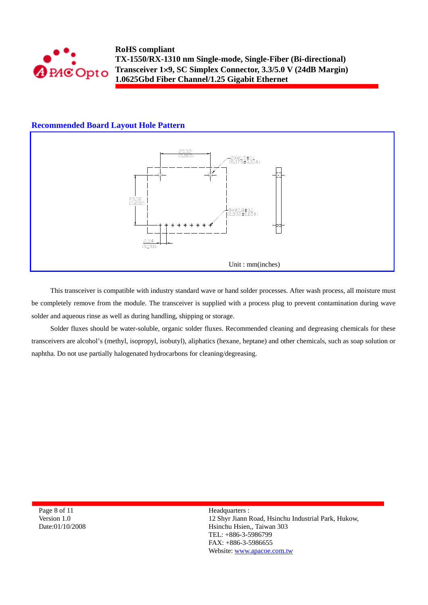

## **Recommended Board Layout Hole Pattern**



This transceiver is compatible with industry standard wave or hand solder processes. After wash process, all moisture must be completely remove from the module. The transceiver is supplied with a process plug to prevent contamination during wave solder and aqueous rinse as well as during handling, shipping or storage.

Solder fluxes should be water-soluble, organic solder fluxes. Recommended cleaning and degreasing chemicals for these transceivers are alcohol's (methyl, isopropyl, isobutyl), aliphatics (hexane, heptane) and other chemicals, such as soap solution or naphtha. Do not use partially halogenated hydrocarbons for cleaning/degreasing.

Page 8 of 11 Version 1.0 Date:01/10/2008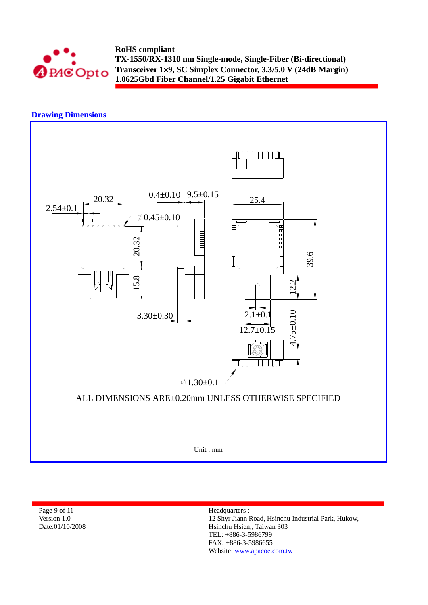





Page 9 of 11 Version 1.0 Date:01/10/2008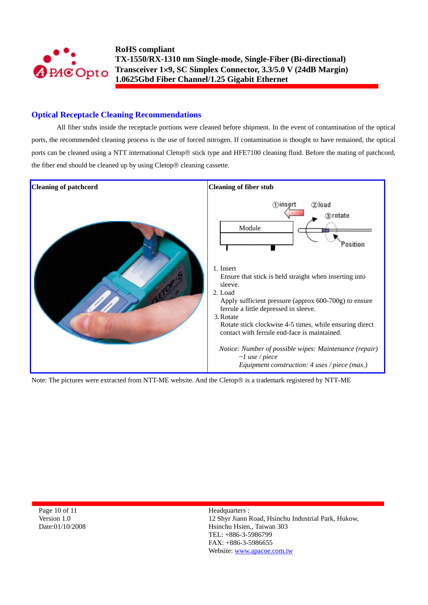

# **Optical Receptacle Cleaning Recommendations**

All fiber stubs inside the receptacle portions were cleaned before shipment. In the event of contamination of the optical ports, the recommended cleaning process is the use of forced nitrogen. If contamination is thought to have remained, the optical ports can be cleaned using a NTT international Cletop® stick type and HFE7100 cleaning fluid. Before the mating of patchcord, the fiber end should be cleaned up by using Cletop® cleaning cassette.



Note: The pictures were extracted from NTT-ME website. And the Cletop® is a trademark registered by NTT-ME

Page 10 of 11 Version 1.0 Date:01/10/2008